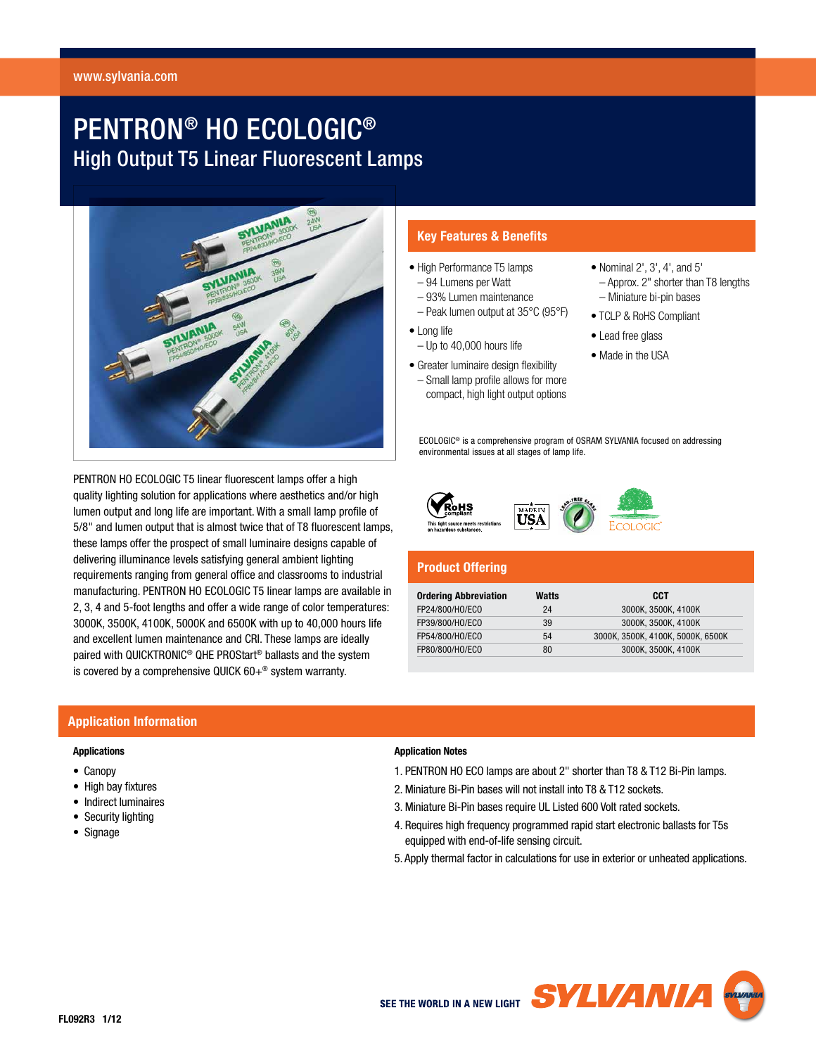# PENTRON® HO ECOLOGIC® High Output T5 Linear Fluorescent Lamps



**Key Features & Benefits**

- High Performance T5 lamps
- 94 Lumens per Watt
- 93% Lumen maintenance – Peak lumen output at 35°C (95°F)
- Long life
- Up to 40,000 hours life
- Greater luminaire design flexibility – Small lamp profile allows for more compact, high light output options
- Nominal 2', 3', 4', and 5'
- Approx. 2" shorter than T8 lengths – Miniature bi-pin bases
- TCLP & RoHS Compliant
- Lead free glass
- Made in the USA

 ECOLOGIC® is a comprehensive program of OSRAM SYLVANIA focused on addressing environmental issues at all stages of lamp life.



# **Product Offering**

| <b>Ordering Abbreviation</b> | Watts | CCT                               |
|------------------------------|-------|-----------------------------------|
| FP24/800/HO/ECO              | 24    | 3000K. 3500K. 4100K               |
| FP39/800/HO/ECO              | 39    | 3000K. 3500K. 4100K               |
| FP54/800/HO/ECO              | 54    | 3000K, 3500K, 4100K, 5000K, 6500K |
| FP80/800/HO/ECO              | 80    | 3000K. 3500K. 4100K               |

# quality lighting solution for applications where aesthetics and/or high lumen output and long life are important. With a small lamp profile of 5/8" and lumen output that is almost twice that of T8 fluorescent lamps, these lamps offer the prospect of small luminaire designs capable of delivering illuminance levels satisfying general ambient lighting requirements ranging from general office and classrooms to industrial manufacturing. PENTRON HO ECOLOGIC T5 linear lamps are available in 2, 3, 4 and 5-foot lengths and offer a wide range of color temperatures: 3000K, 3500K, 4100K, 5000K and 6500K with up to 40,000 hours life and excellent lumen maintenance and CRI. These lamps are ideally paired with QUICKTRONIC® QHE PROStart® ballasts and the system is covered by a comprehensive QUICK 60+® system warranty.

PENTRON HO ECOLOGIC T5 linear fluorescent lamps offer a high

# **Application Information**

#### **Applications**

- Canopy
- High bay fixtures
- Indirect luminaires
- Security lighting
- Signage

#### **Application Notes**

- 1. PENTRON HO ECO lamps are about 2" shorter than T8 & T12 Bi-Pin lamps.
- 2. Miniature Bi-Pin bases will not install into T8 & T12 sockets.

USA

- 3. Miniature Bi-Pin bases require UL Listed 600 Volt rated sockets.
- 4. Requires high frequency programmed rapid start electronic ballasts for T5s equipped with end-of-life sensing circuit.
- 5. Apply thermal factor in calculations for use in exterior or unheated applications.

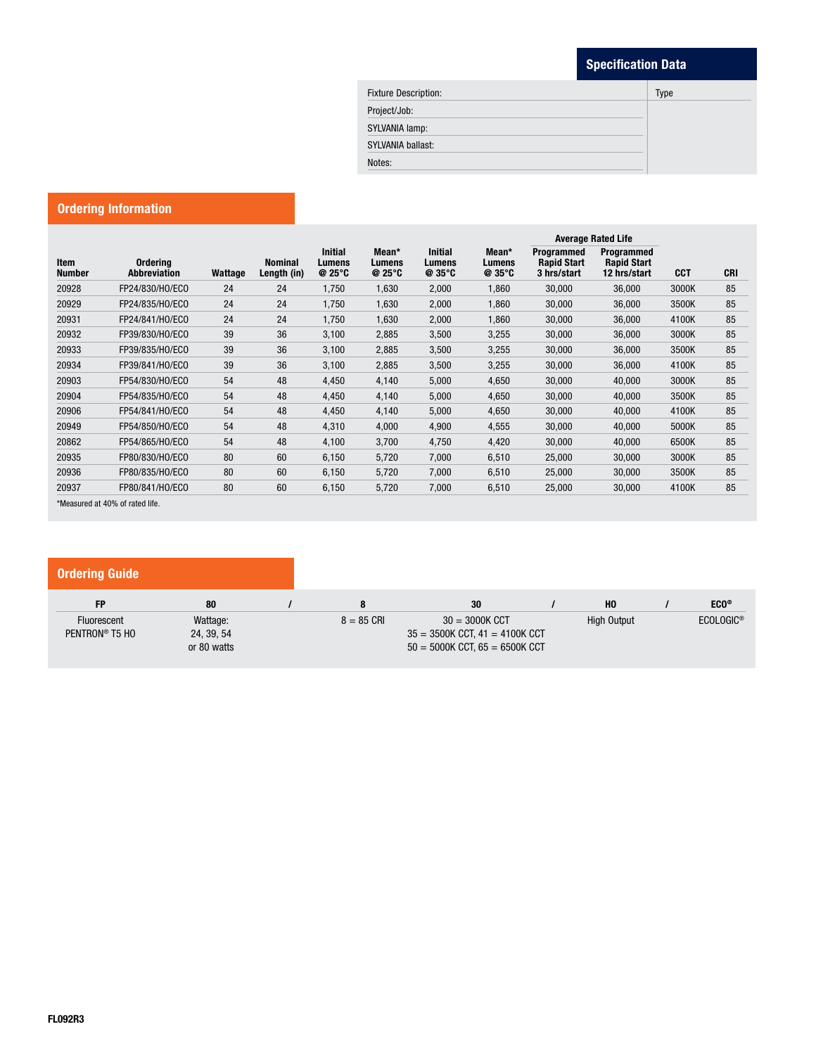# **Specification Data**

| <b>Fixture Description:</b> | <b>Type</b> |
|-----------------------------|-------------|
| Project/Job:                |             |
| SYLVANIA lamp:              |             |
| SYLVANIA ballast:           |             |
| Notes:                      |             |

# **Ordering Information**

| Item<br><b>Number</b> | Ordering<br><b>Abbreviation</b> | Wattage | <b>Nominal</b><br>Length (in) | <b>Initial</b><br>Lumens<br>$@25^\circ C$ | Mean*<br>Lumens<br>@25°C | <b>Initial</b><br>Lumens<br>$@35^{\circ}C$ | Mean*<br>Lumens<br>$Q$ 35 $°C$ | <b>Average Rated Life</b>                       |                                                  |            |            |
|-----------------------|---------------------------------|---------|-------------------------------|-------------------------------------------|--------------------------|--------------------------------------------|--------------------------------|-------------------------------------------------|--------------------------------------------------|------------|------------|
|                       |                                 |         |                               |                                           |                          |                                            |                                | Programmed<br><b>Rapid Start</b><br>3 hrs/start | Programmed<br><b>Rapid Start</b><br>12 hrs/start | <b>CCT</b> | <b>CRI</b> |
| 20928                 | FP24/830/HO/ECO                 | 24      | 24                            | 1,750                                     | 1,630                    | 2,000                                      | 1,860                          | 30,000                                          | 36,000                                           | 3000K      | 85         |
| 20929                 | FP24/835/HO/ECO                 | 24      | 24                            | 1,750                                     | 1,630                    | 2,000                                      | 1,860                          | 30,000                                          | 36,000                                           | 3500K      | 85         |
| 20931                 | FP24/841/HO/ECO                 | 24      | 24                            | 1,750                                     | 1,630                    | 2,000                                      | 1,860                          | 30,000                                          | 36,000                                           | 4100K      | 85         |
| 20932                 | FP39/830/HO/ECO                 | 39      | 36                            | 3,100                                     | 2,885                    | 3,500                                      | 3,255                          | 30,000                                          | 36,000                                           | 3000K      | 85         |
| 20933                 | FP39/835/HO/ECO                 | 39      | 36                            | 3,100                                     | 2,885                    | 3,500                                      | 3,255                          | 30,000                                          | 36,000                                           | 3500K      | 85         |
| 20934                 | FP39/841/H0/ECO                 | 39      | 36                            | 3,100                                     | 2,885                    | 3,500                                      | 3,255                          | 30,000                                          | 36,000                                           | 4100K      | 85         |
| 20903                 | FP54/830/HO/ECO                 | 54      | 48                            | 4,450                                     | 4,140                    | 5,000                                      | 4,650                          | 30,000                                          | 40,000                                           | 3000K      | 85         |
| 20904                 | FP54/835/HO/ECO                 | 54      | 48                            | 4,450                                     | 4,140                    | 5,000                                      | 4,650                          | 30,000                                          | 40,000                                           | 3500K      | 85         |
| 20906                 | FP54/841/H0/ECO                 | 54      | 48                            | 4,450                                     | 4,140                    | 5,000                                      | 4,650                          | 30,000                                          | 40,000                                           | 4100K      | 85         |
| 20949                 | FP54/850/HO/ECO                 | 54      | 48                            | 4,310                                     | 4,000                    | 4,900                                      | 4,555                          | 30,000                                          | 40,000                                           | 5000K      | 85         |
| 20862                 | FP54/865/HO/ECO                 | 54      | 48                            | 4,100                                     | 3,700                    | 4,750                                      | 4,420                          | 30,000                                          | 40,000                                           | 6500K      | 85         |
| 20935                 | FP80/830/HO/ECO                 | 80      | 60                            | 6,150                                     | 5,720                    | 7,000                                      | 6,510                          | 25,000                                          | 30,000                                           | 3000K      | 85         |
| 20936                 | FP80/835/HO/ECO                 | 80      | 60                            | 6,150                                     | 5,720                    | 7,000                                      | 6,510                          | 25,000                                          | 30,000                                           | 3500K      | 85         |
| 20937                 | FP80/841/HO/ECO                 | 80      | 60                            | 6,150                                     | 5,720                    | 7,000                                      | 6,510                          | 25,000                                          | 30,000                                           | 4100K      | 85         |
|                       | *Measured at 40% of rated life. |         |                               |                                           |                          |                                            |                                |                                                 |                                                  |            |            |

**FP 80 / 8 30 / HO / ECO®** Fluorescent Wattage: 8 = 85 CRI 30 = 3000K CCT High Output ECOLOGIC®<br>PENTRON® T5 H0 24, 39, 54 35 = 3500K CCT, 41 = 4100K CCT PENTRON® T5 HO 24, 39, 54 35 = 3500K CCT, 41 = 4100K CCT  $\sim$  50  $\pm$  5000K CCT, 65  $\pm$  6500K CCT  $\sim$  5000K CCT, 65  $\pm$  6500K CCT **Ordering Guide**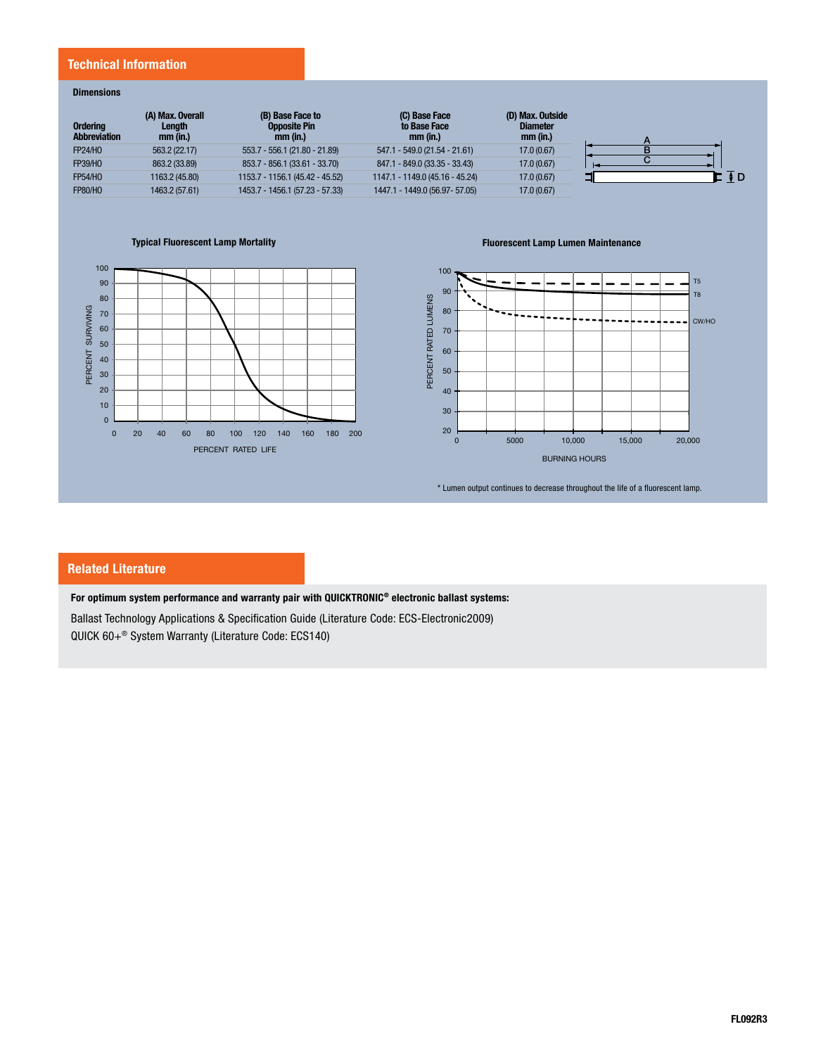#### **Technical Information**

#### **Dimensions**

| <b>Ordering</b><br><b>Abbreviation</b> | (A) Max. Overall<br>Length<br>$mm$ (in.) | (B) Base Face to<br><b>Opposite Pin</b><br>mm (in.) | (C) Base Face<br>to Base Face<br>mm (in.) | (D) Max. Outside<br><b>Diameter</b><br>mm (in.) |  |
|----------------------------------------|------------------------------------------|-----------------------------------------------------|-------------------------------------------|-------------------------------------------------|--|
| <b>FP24/HO</b>                         | 563.2 (22.17)                            | 553.7 - 556.1 (21.80 - 21.89)                       | 547.1 - 549.0 (21.54 - 21.61)             | 17.0 (0.67)                                     |  |
| <b>FP39/HO</b>                         | 863.2 (33.89)                            | 853.7 - 856.1 (33.61 - 33.70)                       | 847.1 - 849.0 (33.35 - 33.43)             | 17.0 (0.67)                                     |  |
| <b>FP54/HO</b>                         | 1163.2 (45.80)                           | 1153.7 - 1156.1 (45.42 - 45.52)                     | 1147.1 - 1149.0 (45.16 - 45.24)           | 17.0 (0.67)                                     |  |
| <b>FP80/HO</b>                         | 1463.2 (57.61)                           | 1453.7 - 1456.1 (57.23 - 57.33)                     | 1447.1 - 1449.0 (56.97- 57.05)            | 17.0 (0.67)                                     |  |

**Typical Fluorescent Lamp Mortality Fluorescent Lamp Lumen Maintenance**





\* Lumen output continues to decrease throughout the life of a fluorescent lamp.

## **Related Literature**

**For optimum system performance and warranty pair with QUICKTRONIC® electronic ballast systems:**

Ballast Technology Applications & Specification Guide (Literature Code: ECS-Electronic2009) QUICK 60+® System Warranty (Literature Code: ECS140)